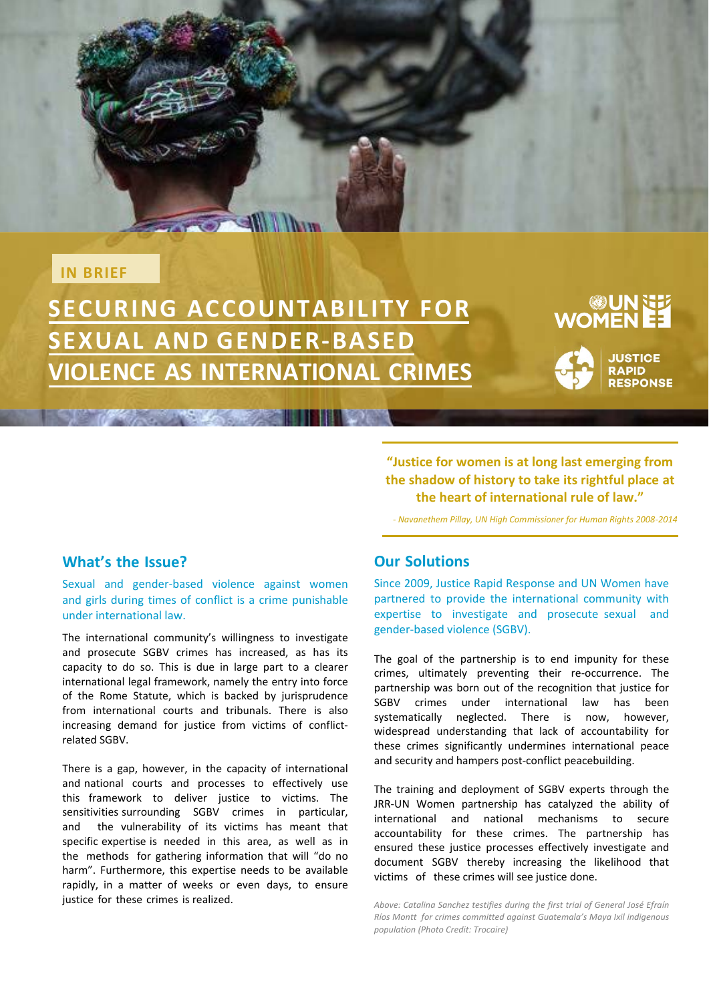## **IN BRIEF**

**SECURING ACCOUNTABILITY FOR SEXUAL AND GENDER-BASED /IOLENCE AS INTERNATIONAL CRIMES** 

and i little

# UN GUN<br>EE WOMEN

**JUSTICE RAPID RESPONSE** 

## **What's the Issue?**

Sexual and gender-based violence against women and girls during times of conflict is a crime punishable under international law.

The international community's willingness to investigate and prosecute SGBV crimes has increased, as has its capacity to do so. This is due in large part to a clearer international legal framework, namely the entry into force of the Rome Statute, which is backed by jurisprudence from international courts and tribunals. There is also increasing demand for justice from victims of conflictrelated SGBV.

There is a gap, however, in the capacity of international and national courts and processes to effectively use this framework to deliver justice to victims. The sensitivities surrounding SGBV crimes in particular, and the vulnerability of its victims has meant that specific expertise is needed in this area, as well as in the methods for gathering information that will "do no harm". Furthermore, this expertise needs to be available rapidly, in a matter of weeks or even days, to ensure justice for these crimes is realized.

## **Our Solutions**

Since 2009, Justice Rapid Response and UN Women have partnered to provide the international community with expertise to investigate and prosecute sexual and gender-based violence (SGBV).

**"Justice for women is at long last emerging from the shadow of history to take its rightful place at the heart of international rule of law."** *- Navanethem Pillay, UN High Commissioner for Human Rights 2008-2014*

The goal of the partnership is to end impunity for these crimes, ultimately preventing their re-occurrence. The partnership was born out of the recognition that justice for SGBV crimes under international law has been systematically neglected. There is now, however, widespread understanding that lack of accountability for these crimes significantly undermines international peace and security and hampers post-conflict peacebuilding.

The training and deployment of SGBV experts through the JRR-UN Women partnership has catalyzed the ability of international and national mechanisms to secure accountability for these crimes. The partnership has ensured these justice processes effectively investigate and document SGBV thereby increasing the likelihood that victims of these crimes will see justice done.

*Above: Catalina Sanchez testifies during the first trial of General José Efraín Ríos Montt for crimes committed against Guatemala's Maya Ixil indigenous population (Photo Credit: Trocaire)*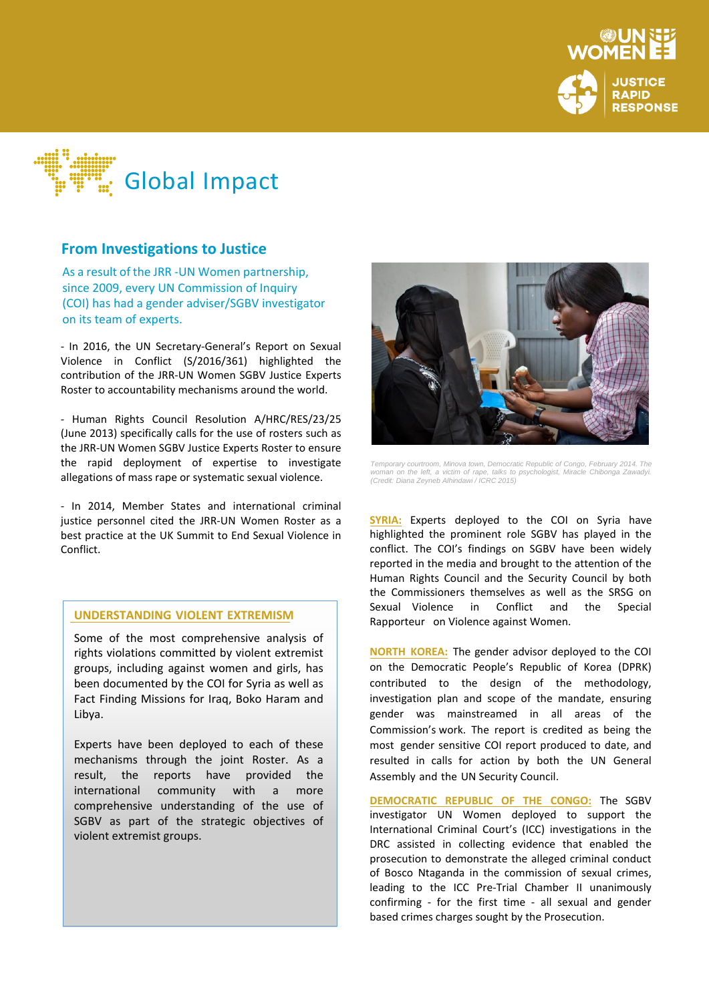



## **From Investigations to Justice**

As a result of the JRR -UN Women partnership, since 2009, every UN Commission of Inquiry **RELATED SEXUAL AND GENERATED SEXUAL AND GENERATED SEXUAL AND GENERA<br>
<b>RELATED SEXUAL AND GENERATED SEXUAL AND GENERATED SEXUAL AND GENERATED SEXUAL AND GENERATED SEXUAL AND GENER** (COI) has had a gender adviser/SGBV investigator<br>on its team of experts. on its team of experts.

- In 2016, the UN Secretary-General's Report on Sexual Violence in Conflict (S/2016/361) highlighted the contribution of the JRR-UN Women SGBV Justice Experts Roster to accountability mechanisms around the world.

- Human Rights Council Resolution A/HRC/RES/23/25 (June 2013) specifically calls for the use of rosters such as the JRR-UN Women SGBV Justice Experts Roster to ensure the rapid deployment of expertise to investigate allegations of mass rape or systematic sexual violence.

- In 2014, Member States and international criminal justice personnel cited the JRR-UN Women Roster as a best practice at the U< Summit to End Sexual Violence in Conflict.

### **UNDERSTANDING VIOLENT EXTREMISM**

Some of the most comprehensive analysis of rights violations committed by violent extremist groups, including against women and girls, has been documented by the COI for Syria as well as Fact Finding Missions for Iraq, Boko Haram and Libya.

Experts have been deployed to each of these mechanisms through the joint Roster. As a result, the reports have provided the international community with a more comprehensive understanding of the use of SGBV as part of the strategic objectives of violent extremist groups.



*Temporary courtroom, Minova town, Democratic Republic of Congo, February 2014. The woman on the left, a victim of rape, talks to psychologist, Miracle Chibonga Zawadyi. (Credit: Diana Zeyneb Alhindawi / ICRC 2015)*

**SYRIA:** Experts deployed to the COI on Syria have highlighted the prominent role SGBV has played in the conflict. The COI's findings on SGBV have been widely reported in the media and brought to the attention of the Human Rights Council and the Security Council by both the Commissioners themselves as well as the SRSG on Sexual Violence in Conflict and the Special Rapporteur on Violence against Women.

**NORTH KOREA:** The gender advisor deployed to the COI on the Democratic People's Republic of Korea (DPRK) contributed to the design of the methodology, investigation plan and scope of the mandate, ensuring gender was mainstreamed in all areas of the Commission's work. The report is credited as being the most gender sensitive COI report produced to date, and resulted in calls for action by both the UN General Assembly and the UN Security Council.

**DEMOCRATIC REPUBLIC OF THE CONGO:** The SGBV investigator UN Women deployed to support the International Criminal Court's (ICC) investigations in the DRC assisted in collecting evidence that enabled the prosecution to demonstrate the alleged criminal conduct of Bosco Ntaganda in the commission of sexual crimes, leading to the ICC Pre-Trial Chamber II unanimously confirming - for the first time - all sexual and gender based crimes charges sought by the Prosecution.